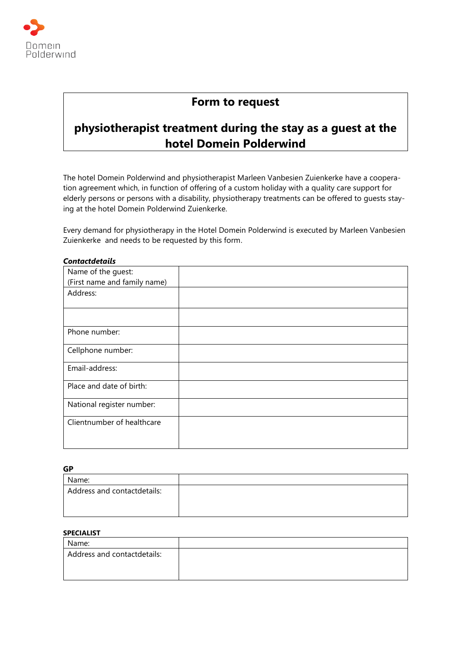

# **Form to request**

# **physiotherapist treatment during the stay as a guest at the hotel Domein Polderwind**

The hotel Domein Polderwind and physiotherapist Marleen Vanbesien Zuienkerke have a cooperation agreement which, in function of offering of a custom holiday with a quality care support for elderly persons or persons with a disability, physiotherapy treatments can be offered to guests staying at the hotel Domein Polderwind Zuienkerke.

Every demand for physiotherapy in the Hotel Domein Polderwind is executed by Marleen Vanbesien Zuienkerke and needs to be requested by this form.

| Name of the guest:           |  |
|------------------------------|--|
| (First name and family name) |  |
| Address:                     |  |
|                              |  |
| Phone number:                |  |
| Cellphone number:            |  |
| Email-address:               |  |
| Place and date of birth:     |  |
| National register number:    |  |
| Clientnumber of healthcare   |  |
|                              |  |

## *Contactdetails*

**GP**

| ◡                           |  |
|-----------------------------|--|
| Name:                       |  |
| Address and contactdetails: |  |
|                             |  |

# **SPECIALIST**

| Name:                       |  |
|-----------------------------|--|
| Address and contactdetails: |  |
|                             |  |